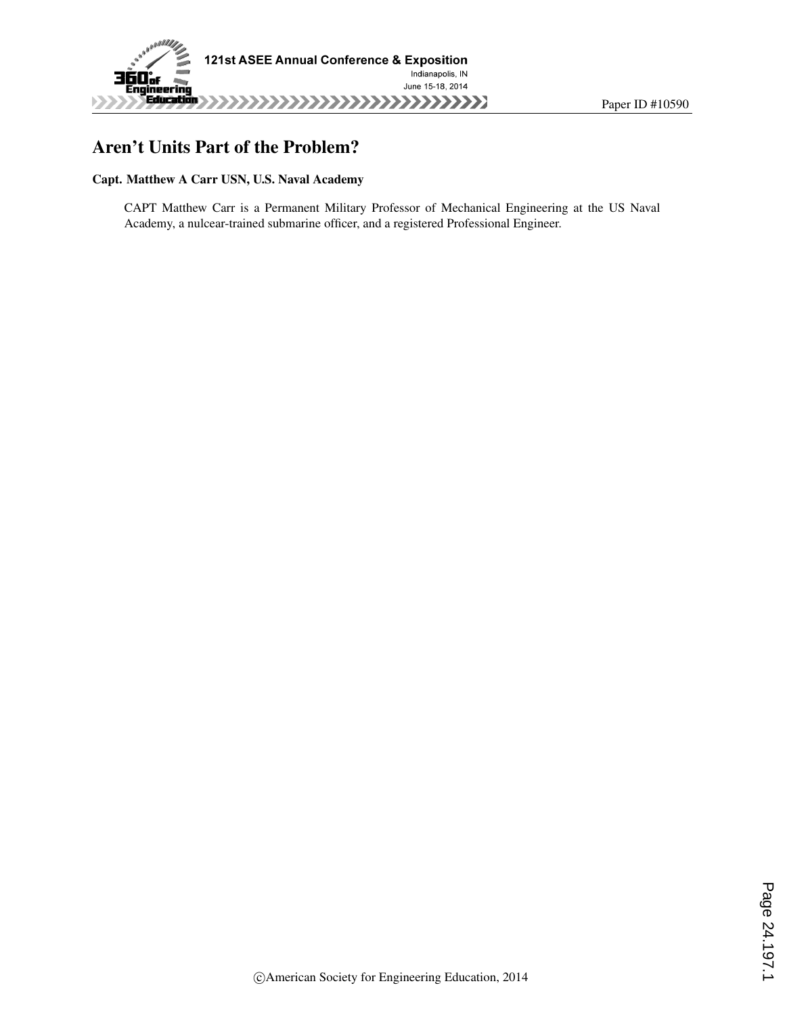

# Aren't Units Part of the Problem?

#### Capt. Matthew A Carr USN, U.S. Naval Academy

CAPT Matthew Carr is a Permanent Military Professor of Mechanical Engineering at the US Naval Academy, a nulcear-trained submarine officer, and a registered Professional Engineer.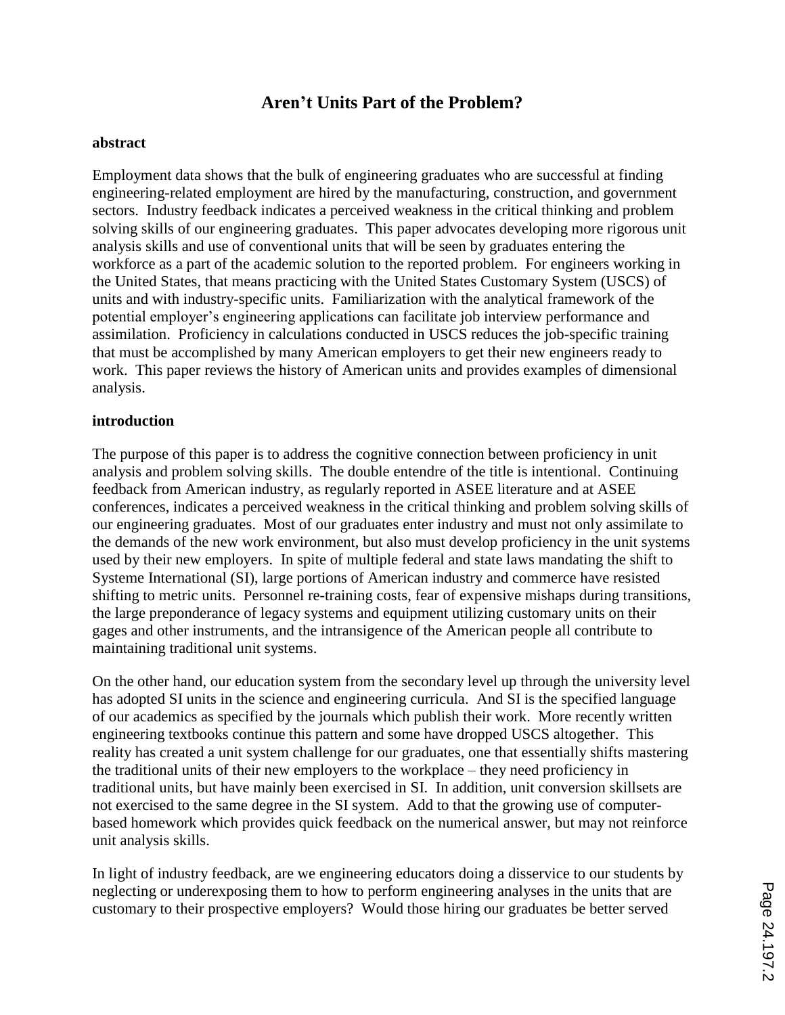# **Aren't Units Part of the Problem?**

#### **abstract**

Employment data shows that the bulk of engineering graduates who are successful at finding engineering-related employment are hired by the manufacturing, construction, and government sectors. Industry feedback indicates a perceived weakness in the critical thinking and problem solving skills of our engineering graduates. This paper advocates developing more rigorous unit analysis skills and use of conventional units that will be seen by graduates entering the workforce as a part of the academic solution to the reported problem. For engineers working in the United States, that means practicing with the United States Customary System (USCS) of units and with industry-specific units. Familiarization with the analytical framework of the potential employer's engineering applications can facilitate job interview performance and assimilation. Proficiency in calculations conducted in USCS reduces the job-specific training that must be accomplished by many American employers to get their new engineers ready to work. This paper reviews the history of American units and provides examples of dimensional analysis.

#### **introduction**

The purpose of this paper is to address the cognitive connection between proficiency in unit analysis and problem solving skills. The double entendre of the title is intentional. Continuing feedback from American industry, as regularly reported in ASEE literature and at ASEE conferences, indicates a perceived weakness in the critical thinking and problem solving skills of our engineering graduates. Most of our graduates enter industry and must not only assimilate to the demands of the new work environment, but also must develop proficiency in the unit systems used by their new employers. In spite of multiple federal and state laws mandating the shift to Systeme International (SI), large portions of American industry and commerce have resisted shifting to metric units. Personnel re-training costs, fear of expensive mishaps during transitions, the large preponderance of legacy systems and equipment utilizing customary units on their gages and other instruments, and the intransigence of the American people all contribute to maintaining traditional unit systems.

On the other hand, our education system from the secondary level up through the university level has adopted SI units in the science and engineering curricula. And SI is the specified language of our academics as specified by the journals which publish their work. More recently written engineering textbooks continue this pattern and some have dropped USCS altogether. This reality has created a unit system challenge for our graduates, one that essentially shifts mastering the traditional units of their new employers to the workplace – they need proficiency in traditional units, but have mainly been exercised in SI. In addition, unit conversion skillsets are not exercised to the same degree in the SI system. Add to that the growing use of computerbased homework which provides quick feedback on the numerical answer, but may not reinforce unit analysis skills.

In light of industry feedback, are we engineering educators doing a disservice to our students by neglecting or underexposing them to how to perform engineering analyses in the units that are customary to their prospective employers? Would those hiring our graduates be better served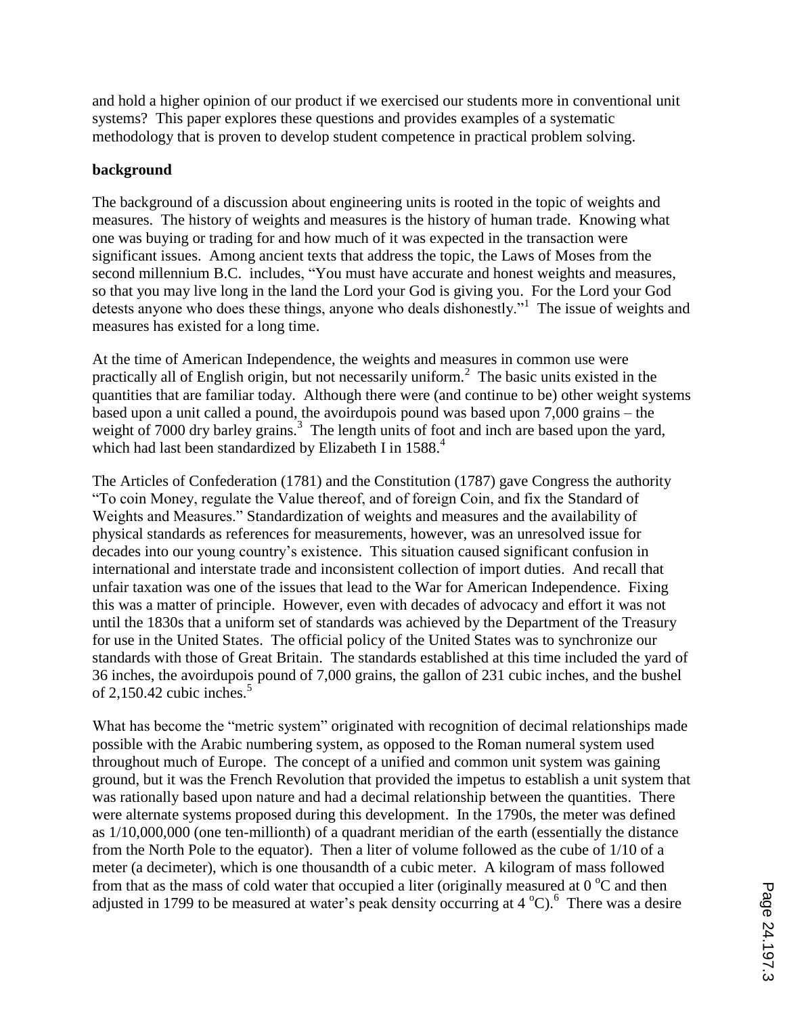and hold a higher opinion of our product if we exercised our students more in conventional unit systems? This paper explores these questions and provides examples of a systematic methodology that is proven to develop student competence in practical problem solving.

## **background**

The background of a discussion about engineering units is rooted in the topic of weights and measures. The history of weights and measures is the history of human trade. Knowing what one was buying or trading for and how much of it was expected in the transaction were significant issues. Among ancient texts that address the topic, the Laws of Moses from the second millennium B.C. includes, "You must have accurate and honest weights and measures, so that you may live long in the land the Lord your God is giving you. For the Lord your God detests anyone who does these things, anyone who deals dishonestly."<sup>1</sup> The issue of weights and measures has existed for a long time.

At the time of American Independence, the weights and measures in common use were practically all of English origin, but not necessarily uniform.<sup>2</sup> The basic units existed in the quantities that are familiar today. Although there were (and continue to be) other weight systems based upon a unit called a pound, the avoirdupois pound was based upon 7,000 grains – the weight of 7000 dry barley grains.<sup>3</sup> The length units of foot and inch are based upon the yard, which had last been standardized by Elizabeth I in 1588.<sup>4</sup>

The Articles of Confederation (1781) and the Constitution (1787) gave Congress the authority "To coin Money, regulate the Value thereof, and of foreign Coin, and fix the Standard of Weights and Measures." Standardization of weights and measures and the availability of physical standards as references for measurements, however, was an unresolved issue for decades into our young country's existence. This situation caused significant confusion in international and interstate trade and inconsistent collection of import duties. And recall that unfair taxation was one of the issues that lead to the War for American Independence. Fixing this was a matter of principle. However, even with decades of advocacy and effort it was not until the 1830s that a uniform set of standards was achieved by the Department of the Treasury for use in the United States. The official policy of the United States was to synchronize our standards with those of Great Britain. The standards established at this time included the yard of 36 inches, the avoirdupois pound of 7,000 grains, the gallon of 231 cubic inches, and the bushel of 2,150.42 cubic inches. $5$ 

What has become the "metric system" originated with recognition of decimal relationships made possible with the Arabic numbering system, as opposed to the Roman numeral system used throughout much of Europe. The concept of a unified and common unit system was gaining ground, but it was the French Revolution that provided the impetus to establish a unit system that was rationally based upon nature and had a decimal relationship between the quantities. There were alternate systems proposed during this development. In the 1790s, the meter was defined as 1/10,000,000 (one ten-millionth) of a quadrant meridian of the earth (essentially the distance from the North Pole to the equator). Then a liter of volume followed as the cube of 1/10 of a meter (a decimeter), which is one thousandth of a cubic meter. A kilogram of mass followed from that as the mass of cold water that occupied a liter (originally measured at  $0^{\circ}$ C and then adjusted in 1799 to be measured at water's peak density occurring at  $4^{\circ}$ C). There was a desire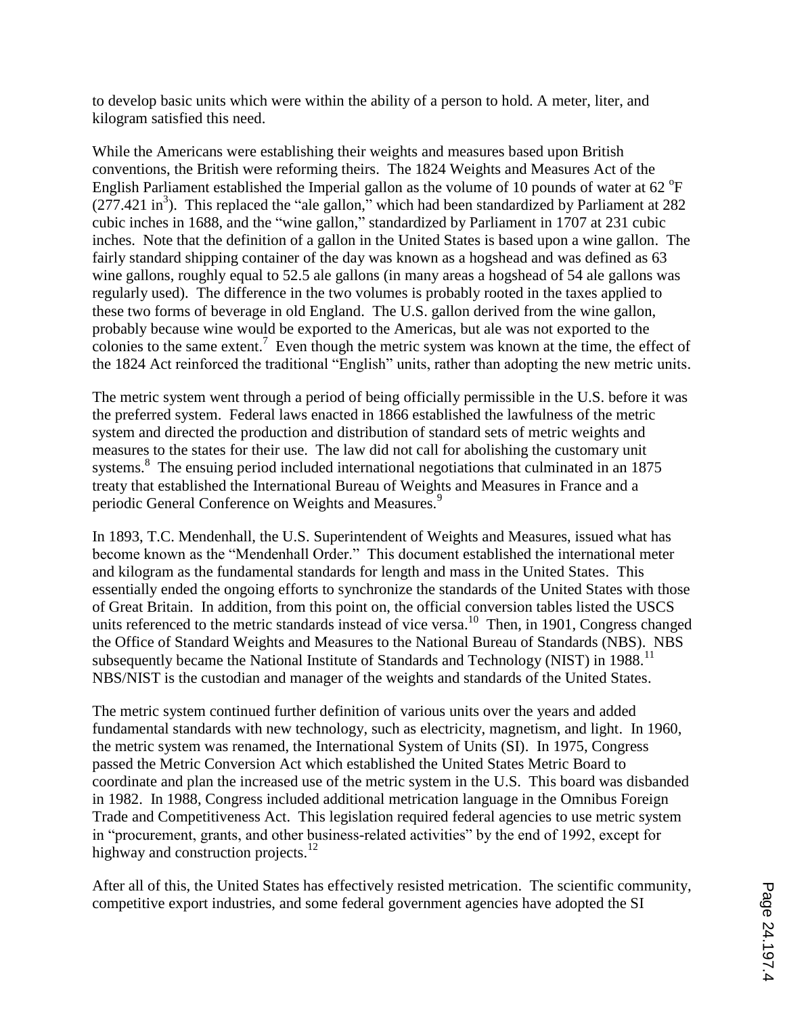to develop basic units which were within the ability of a person to hold. A meter, liter, and kilogram satisfied this need.

While the Americans were establishing their weights and measures based upon British conventions, the British were reforming theirs. The 1824 Weights and Measures Act of the English Parliament established the Imperial gallon as the volume of 10 pounds of water at 62  $\mathrm{P}$ F  $(277.421 \text{ in}^3)$ . This replaced the "ale gallon," which had been standardized by Parliament at 282 cubic inches in 1688, and the "wine gallon," standardized by Parliament in 1707 at 231 cubic inches. Note that the definition of a gallon in the United States is based upon a wine gallon. The fairly standard shipping container of the day was known as a hogshead and was defined as 63 wine gallons, roughly equal to 52.5 ale gallons (in many areas a hogshead of 54 ale gallons was regularly used). The difference in the two volumes is probably rooted in the taxes applied to these two forms of beverage in old England. The U.S. gallon derived from the wine gallon, probably because wine would be exported to the Americas, but ale was not exported to the colonies to the same extent.<sup>7</sup> Even though the metric system was known at the time, the effect of the 1824 Act reinforced the traditional "English" units, rather than adopting the new metric units.

The metric system went through a period of being officially permissible in the U.S. before it was the preferred system. Federal laws enacted in 1866 established the lawfulness of the metric system and directed the production and distribution of standard sets of metric weights and measures to the states for their use. The law did not call for abolishing the customary unit systems.<sup>8</sup> The ensuing period included international negotiations that culminated in an 1875 treaty that established the International Bureau of Weights and Measures in France and a periodic General Conference on Weights and Measures.<sup>9</sup>

In 1893, T.C. Mendenhall, the U.S. Superintendent of Weights and Measures, issued what has become known as the "Mendenhall Order." This document established the international meter and kilogram as the fundamental standards for length and mass in the United States. This essentially ended the ongoing efforts to synchronize the standards of the United States with those of Great Britain. In addition, from this point on, the official conversion tables listed the USCS units referenced to the metric standards instead of vice versa.<sup>10</sup> Then, in 1901, Congress changed the Office of Standard Weights and Measures to the National Bureau of Standards (NBS). NBS subsequently became the National Institute of Standards and Technology (NIST) in 1988.<sup>11</sup> NBS/NIST is the custodian and manager of the weights and standards of the United States.

The metric system continued further definition of various units over the years and added fundamental standards with new technology, such as electricity, magnetism, and light. In 1960, the metric system was renamed, the International System of Units (SI). In 1975, Congress passed the Metric Conversion Act which established the United States Metric Board to coordinate and plan the increased use of the metric system in the U.S. This board was disbanded in 1982. In 1988, Congress included additional metrication language in the Omnibus Foreign Trade and Competitiveness Act. This legislation required federal agencies to use metric system in "procurement, grants, and other business-related activities" by the end of 1992, except for highway and construction projects.<sup>12</sup>

After all of this, the United States has effectively resisted metrication. The scientific community, competitive export industries, and some federal government agencies have adopted the SI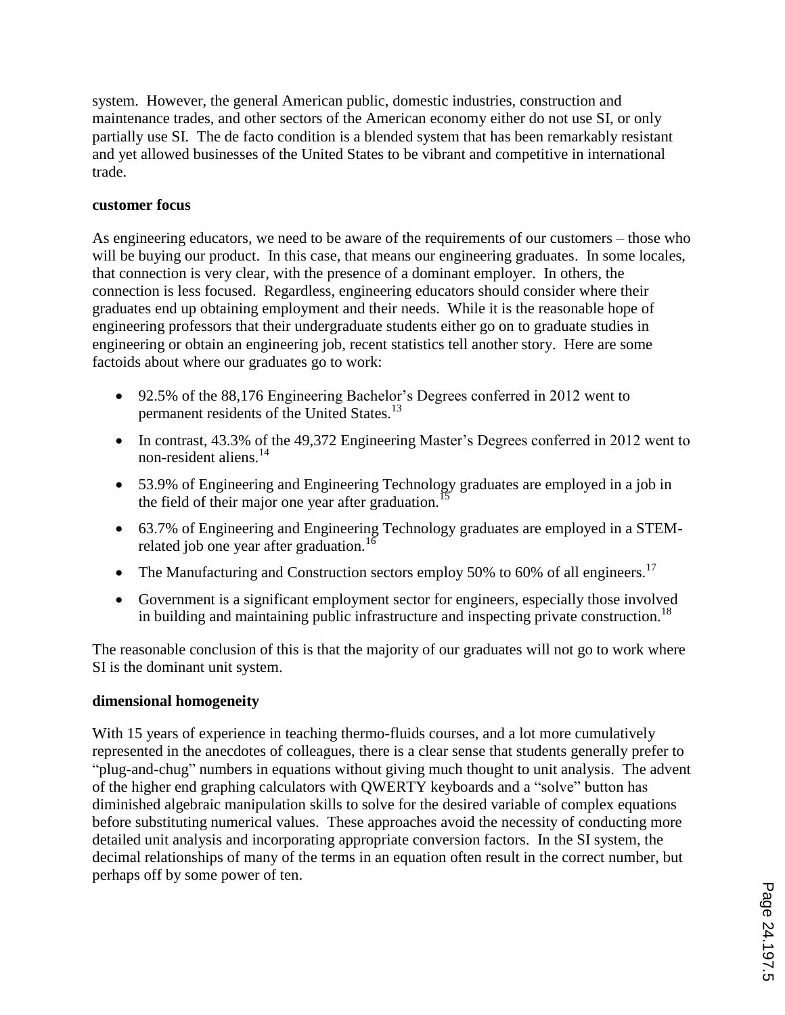system. However, the general American public, domestic industries, construction and maintenance trades, and other sectors of the American economy either do not use SI, or only partially use SI. The de facto condition is a blended system that has been remarkably resistant and yet allowed businesses of the United States to be vibrant and competitive in international trade.

## **customer focus**

As engineering educators, we need to be aware of the requirements of our customers – those who will be buying our product. In this case, that means our engineering graduates. In some locales, that connection is very clear, with the presence of a dominant employer. In others, the connection is less focused. Regardless, engineering educators should consider where their graduates end up obtaining employment and their needs. While it is the reasonable hope of engineering professors that their undergraduate students either go on to graduate studies in engineering or obtain an engineering job, recent statistics tell another story. Here are some factoids about where our graduates go to work:

- 92.5% of the 88,176 Engineering Bachelor's Degrees conferred in 2012 went to permanent residents of the United States.<sup>13</sup>
- In contrast, 43.3% of the 49.372 Engineering Master's Degrees conferred in 2012 went to non-resident aliens.<sup>14</sup>
- 53.9% of Engineering and Engineering Technology graduates are employed in a job in the field of their major one year after graduation.<sup>1</sup>
- 63.7% of Engineering and Engineering Technology graduates are employed in a STEMrelated job one year after graduation.<sup>16</sup>
- The Manufacturing and Construction sectors employ 50% to 60% of all engineers.<sup>17</sup>
- Government is a significant employment sector for engineers, especially those involved in building and maintaining public infrastructure and inspecting private construction.<sup>18</sup>

The reasonable conclusion of this is that the majority of our graduates will not go to work where SI is the dominant unit system.

#### **dimensional homogeneity**

With 15 years of experience in teaching thermo-fluids courses, and a lot more cumulatively represented in the anecdotes of colleagues, there is a clear sense that students generally prefer to "plug-and-chug" numbers in equations without giving much thought to unit analysis. The advent of the higher end graphing calculators with QWERTY keyboards and a "solve" button has diminished algebraic manipulation skills to solve for the desired variable of complex equations before substituting numerical values. These approaches avoid the necessity of conducting more detailed unit analysis and incorporating appropriate conversion factors. In the SI system, the decimal relationships of many of the terms in an equation often result in the correct number, but perhaps off by some power of ten.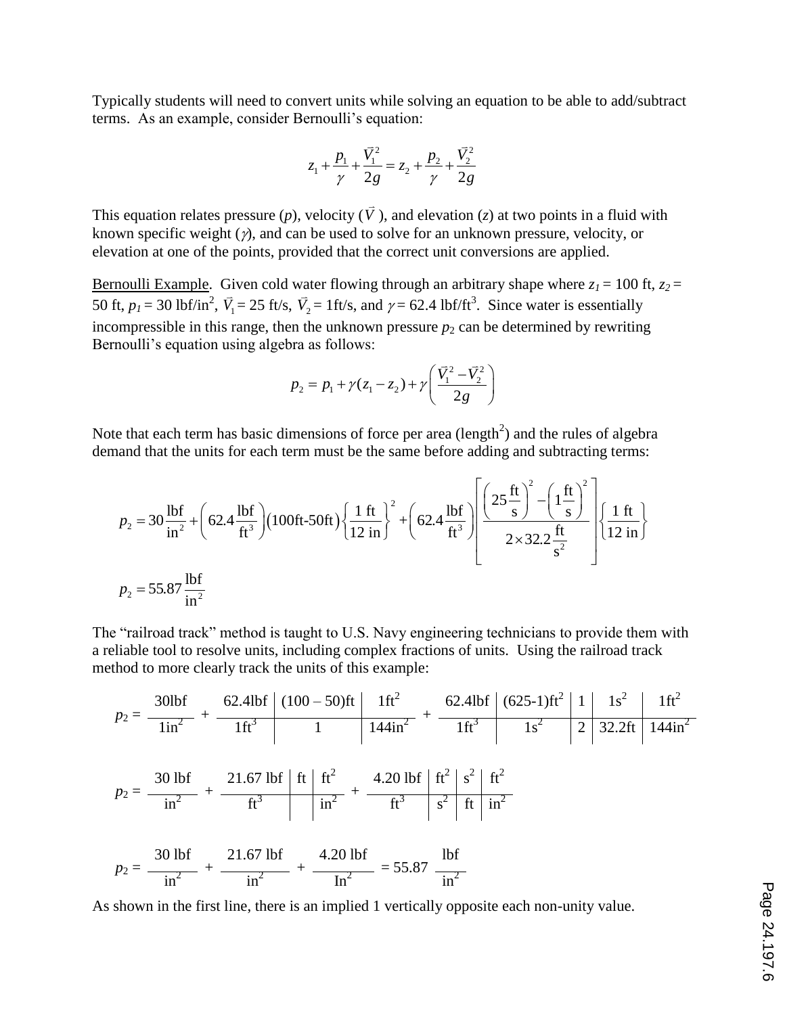Typically students will need to convert units while solving an equation to be able to add/subtract terms. As an example, consider Bernoulli's equation:

$$
z_1 + \frac{p_1}{\gamma} + \frac{\vec{V}_1^2}{2g} = z_2 + \frac{p_2}{\gamma} + \frac{\vec{V}_2^2}{2g}
$$

This equation relates pressure (*p*), velocity  $(\bar{V})$ , and elevation (*z*) at two points in a fluid with known specific weight  $(y)$ , and can be used to solve for an unknown pressure, velocity, or elevation at one of the points, provided that the correct unit conversions are applied.

Bernoulli Example. Given cold water flowing through an arbitrary shape where  $z_1 = 100$  ft,  $z_2 = 100$ 50 ft,  $p_1 = 30$  lbf/in<sup>2</sup>,  $\vec{V}_1 = 25$  ft/s,  $\vec{V}_2 = 1$  ft/s, and  $\gamma = 62.4$  lbf/ft<sup>3</sup>. Since water is essentially incompressible in this range, then the unknown pressure  $p_2$  can be determined by rewriting Bernoulli's equation using algebra as follows:

$$
p_2 = p_1 + \gamma (z_1 - z_2) + \gamma \left( \frac{\vec{V}_1^2 - \vec{V}_2^2}{2g} \right)
$$

Note that each term has basic dimensions of force per area (length<sup>2</sup>) and the rules of algebra  
\ndemand that the units for each term must be the same before adding and subtracting terms:  
\n
$$
p_2 = 30 \frac{\text{lbf}}{\text{in}^2} + \left(62.4 \frac{\text{lbf}}{\text{ft}^3}\right) \left(100 \text{ft} \cdot 50 \text{ft}\right) \left\{\frac{1 \text{ ft}}{12 \text{ in}}\right\}^2 + \left(62.4 \frac{\text{lbf}}{\text{ft}^3}\right) \left[\frac{\left(25 \frac{\text{ft}}{\text{s}}\right)^2 - \left(1 \frac{\text{ft}}{\text{s}}\right)^2}{2 \times 32.2 \frac{\text{ft}}{\text{s}^2}}\right] \left\{\frac{1 \text{ ft}}{12 \text{ in}}\right\}
$$
\n
$$
p_2 = 55.87 \frac{\text{lbf}}{\text{in}^2}
$$

The "railroad track" method is taught to U.S. Navy engineering technicians to provide them with a reliable tool to resolve units, including complex fractions of units. Using the railroad track method to more clearly track the units of this example:

$$
p_2 = \frac{30\,\text{lbf}}{1\,\text{in}^2} + \frac{62.4\,\text{lbf}}{1\,\text{ft}^3} \left( \frac{(100 - 50)\,\text{ft}}{1} \right) + \frac{1\,\text{ft}^2}{14\,\text{4}\,\text{in}^2} + \frac{62.4\,\text{lbf}}{1\,\text{ft}^3} \left( \frac{(625 - 1)\,\text{ft}^2}{1\,\text{s}^2} \right) + \frac{21.67\,\text{lbf}}{\text{ft}^3} \left( \frac{\text{ft}}{\text{it}^2} \right) + \frac{4.20\,\text{lbf}}{\text{ft}^3} \left( \frac{\text{ft}^2}{\text{s}^2} \right) \left( \frac{\text{ft}^2}{\text{it}^2} \right) \left( \frac{\text{ft}^2}{\text{s}^2} \right) + \frac{4.20\,\text{lbf}}{\text{ft}^3} \left( \frac{\text{ft}^2}{\text{s}^2} \right) \left( \frac{\text{ft}^2}{\text{it}^2} \right) \left( \frac{\text{ft}^2}{\text{s}^2} \right) + \frac{21.67\,\text{lbf}}{\text{in}^2} + \frac{4.20\,\text{lbf}}{\text{in}^2} \right) = 55.87\frac{\text{lbf}}{\text{in}^2}
$$

As shown in the first line, there is an implied 1 vertically opposite each non-unity value.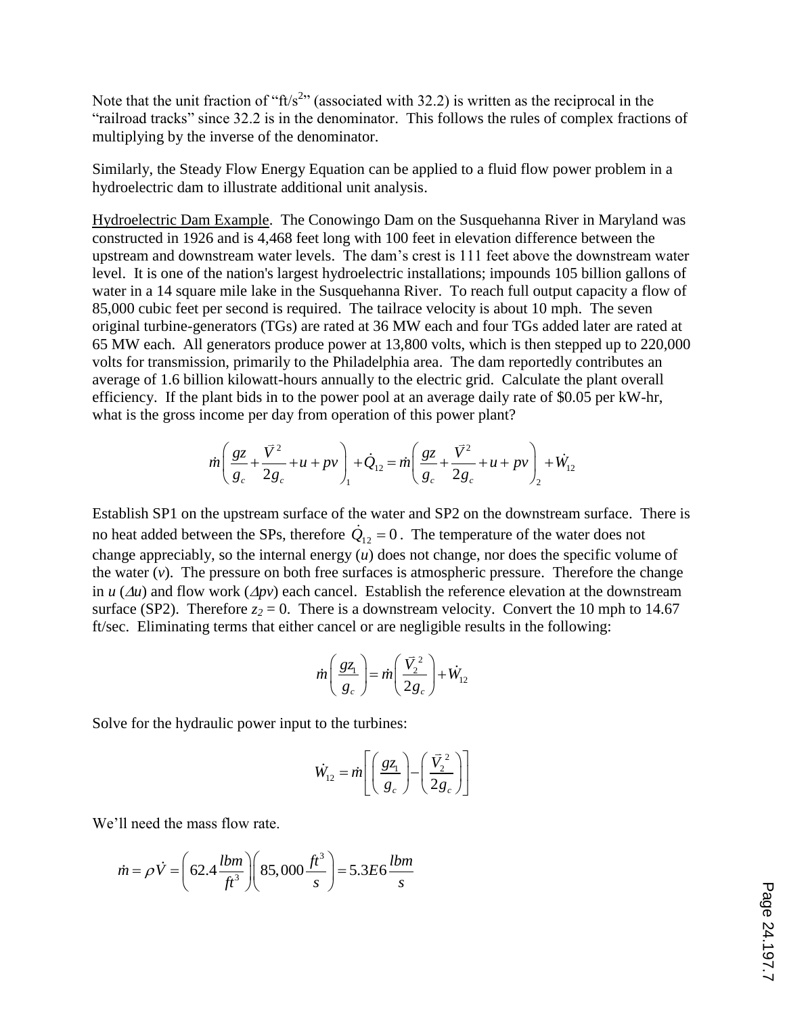Note that the unit fraction of " $ft/s<sup>2</sup>$ " (associated with 32.2) is written as the reciprocal in the "railroad tracks" since 32.2 is in the denominator. This follows the rules of complex fractions of multiplying by the inverse of the denominator.

Similarly, the Steady Flow Energy Equation can be applied to a fluid flow power problem in a hydroelectric dam to illustrate additional unit analysis.

Hydroelectric Dam Example. The Conowingo Dam on the Susquehanna River in Maryland was constructed in 1926 and is 4,468 feet long with 100 feet in elevation difference between the upstream and downstream water levels. The dam's crest is 111 feet above the downstream water level. It is one of the nation's largest hydroelectric installations; impounds 105 billion gallons of water in a 14 square mile lake in the Susquehanna River. To reach full output capacity a flow of 85,000 cubic feet per second is required. The tailrace velocity is about 10 mph. The seven original turbine-generators (TGs) are rated at 36 MW each and four TGs added later are rated at 65 MW each. All generators produce power at 13,800 volts, which is then stepped up to 220,000 volts for transmission, primarily to the Philadelphia area. The dam reportedly contributes an average of 1.6 billion kilowatt-hours annually to the electric grid. Calculate the plant overall efficiency. If the plant bids in to the power pool at an average daily rate of \$0.05 per kW-hr,

what is the gross income per day from operation of this power plant?  
\n
$$
\dot{m} \left( \frac{gz}{g_c} + \frac{\bar{V}^2}{2g_c} + u + pv \right) + \dot{Q}_{12} = \dot{m} \left( \frac{gz}{g_c} + \frac{\bar{V}^2}{2g_c} + u + pv \right) + \dot{W}_{12}
$$

Establish SP1 on the upstream surface of the water and SP2 on the downstream surface. There is no heat added between the SPs, therefore  $\dot{Q}_{12} = 0$ . The temperature of the water does not change appreciably, so the internal energy (*u*) does not change, nor does the specific volume of the water  $(v)$ . The pressure on both free surfaces is atmospheric pressure. Therefore the change in  $u(\Delta u)$  and flow work  $(\Delta pv)$  each cancel. Establish the reference elevation at the downstream surface (SP2). Therefore  $z_2 = 0$ . There is a downstream velocity. Convert the 10 mph to 14.67 ft/sec. Eliminating terms that either cancel or are negligible results in the following:

$$
\dot{m} \left( \frac{gz_1}{g_c} \right) = \dot{m} \left( \frac{\vec{V}_2^2}{2g_c} \right) + \dot{W}_{12}
$$

Solve for the hydraulic power input to the turbines:

$$
\dot{W}_{12} = \dot{m} \left[ \left( \frac{g z_1}{g_c} \right) - \left( \frac{\vec{V}_2^2}{2g_c} \right) \right]
$$

We'll need the mass flow rate.

in need the mass flow rate.  
\n
$$
\dot{m} = \rho \dot{V} = \left(62.4 \frac{lbm}{ft^3}\right) \left(85,000 \frac{ft^3}{s}\right) = 5.3E6 \frac{lbm}{s}
$$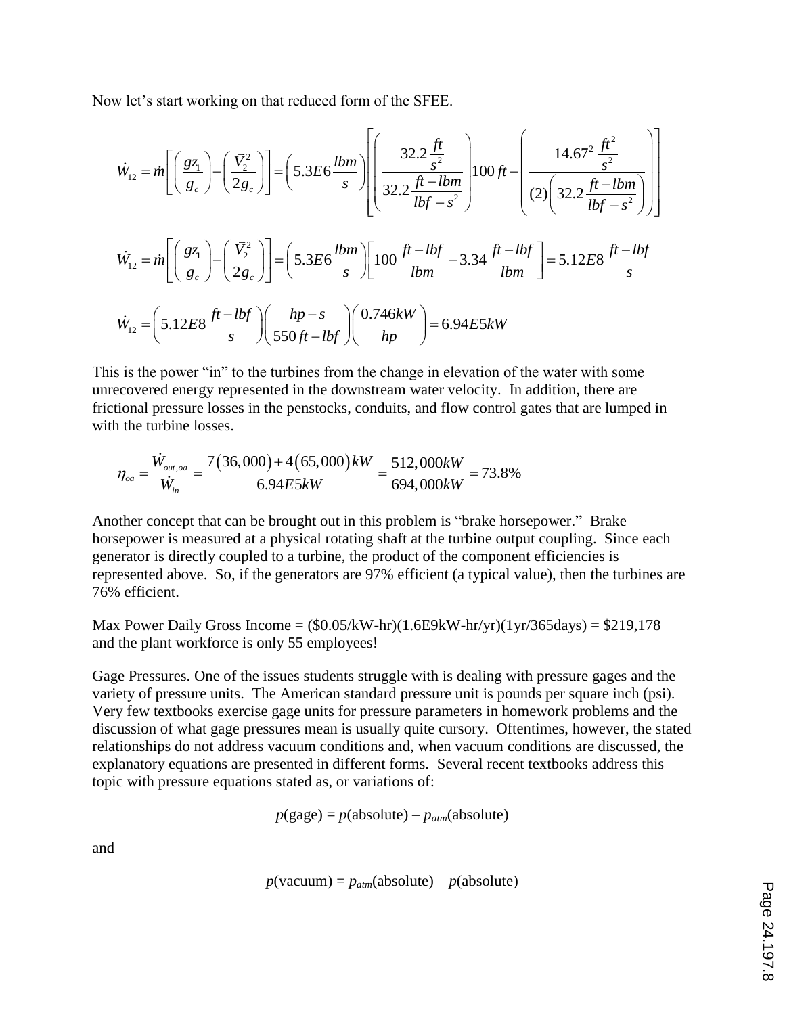Now let's start working on that reduced form of the SFEE.

$$
\dot{W}_{12} = \dot{m} \left[ \left( \frac{g_{\zeta_1}}{g_c} \right) - \left( \frac{\dot{V}_2^2}{2g_c} \right) \right] = \left( 5.3E6 \frac{lbm}{s} \right) \left[ \left( \frac{32.2 \frac{ft}{s^2}}{32.2 \frac{ft - lbm}{lbf - s^2}} \right) \right] \left[ 00 ft - \left( \frac{14.67^2 \frac{ft^2}{s^2}}{(2) \left( 32.2 \frac{ft - lbm}{lbf - s^2} \right)} \right) \right]
$$
\n
$$
\dot{W}_{12} = \dot{m} \left[ \left( \frac{g_{\zeta_1}}{g_c} \right) - \left( \frac{\dot{V}_2^2}{2g_c} \right) \right] = \left( 5.3E6 \frac{lbm}{s} \right) \left[ 100 \frac{ft - lbf}{lbm} - 3.34 \frac{ft - lbf}{lbm} \right] = 5.12E8 \frac{ft - lbf}{s}
$$
\n
$$
\dot{W}_{12} = \left( 5.12E8 \frac{ft - lbf}{s} \right) \left( \frac{hp - s}{550 ft - lbf} \right) \left( \frac{0.746kW}{hp} \right) = 6.94E5kW
$$

This is the power "in" to the turbines from the change in elevation of the water with some unrecovered energy represented in the downstream water velocity. In addition, there are frictional pressure losses in the penstocks, conduits, and flow control gates that are lumped in with the turbine losses.

$$
\eta_{oa} = \frac{\dot{W}_{out,oa}}{\dot{W}_{in}} = \frac{7(36,000) + 4(65,000)k}{6.94E5kW} = \frac{512,000k}{694,000kW} = 73.8\%
$$

Another concept that can be brought out in this problem is "brake horsepower." Brake horsepower is measured at a physical rotating shaft at the turbine output coupling. Since each generator is directly coupled to a turbine, the product of the component efficiencies is represented above. So, if the generators are 97% efficient (a typical value), then the turbines are 76% efficient.

Max Power Daily Gross Income =  $(\$0.05/kW-hr)(1.6E9kW-hr/yr)(1yr/365days) = \$219,178$ and the plant workforce is only 55 employees!

Gage Pressures. One of the issues students struggle with is dealing with pressure gages and the variety of pressure units. The American standard pressure unit is pounds per square inch (psi). Very few textbooks exercise gage units for pressure parameters in homework problems and the discussion of what gage pressures mean is usually quite cursory. Oftentimes, however, the stated relationships do not address vacuum conditions and, when vacuum conditions are discussed, the explanatory equations are presented in different forms. Several recent textbooks address this topic with pressure equations stated as, or variations of:

$$
p(gage) = p(absolute) - p_{atm}(absolute)
$$

and

$$
p(\text{vacuum}) = p_{atm}(\text{absolute}) - p(\text{absolute})
$$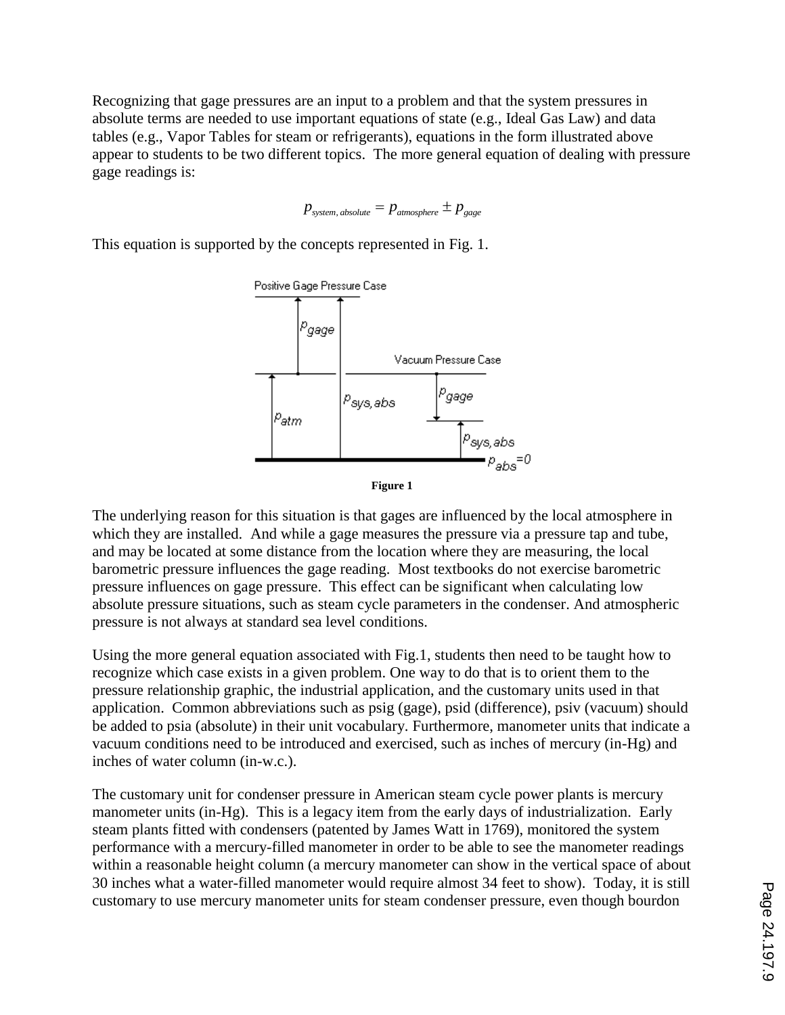Recognizing that gage pressures are an input to a problem and that the system pressures in absolute terms are needed to use important equations of state (e.g., Ideal Gas Law) and data tables (e.g., Vapor Tables for steam or refrigerants), equations in the form illustrated above appear to students to be two different topics. The more general equation of dealing with pressure gage readings is:

$$
p_{system, absolute} = p_{atmosphere} \pm p_{gage}
$$

This equation is supported by the concepts represented in Fig. 1.



The underlying reason for this situation is that gages are influenced by the local atmosphere in which they are installed. And while a gage measures the pressure via a pressure tap and tube, and may be located at some distance from the location where they are measuring, the local barometric pressure influences the gage reading. Most textbooks do not exercise barometric pressure influences on gage pressure. This effect can be significant when calculating low absolute pressure situations, such as steam cycle parameters in the condenser. And atmospheric pressure is not always at standard sea level conditions.

Using the more general equation associated with Fig.1, students then need to be taught how to recognize which case exists in a given problem. One way to do that is to orient them to the pressure relationship graphic, the industrial application, and the customary units used in that application. Common abbreviations such as psig (gage), psid (difference), psiv (vacuum) should be added to psia (absolute) in their unit vocabulary. Furthermore, manometer units that indicate a vacuum conditions need to be introduced and exercised, such as inches of mercury (in-Hg) and inches of water column (in-w.c.).

The customary unit for condenser pressure in American steam cycle power plants is mercury manometer units (in-Hg). This is a legacy item from the early days of industrialization. Early steam plants fitted with condensers (patented by James Watt in 1769), monitored the system performance with a mercury-filled manometer in order to be able to see the manometer readings within a reasonable height column (a mercury manometer can show in the vertical space of about 30 inches what a water-filled manometer would require almost 34 feet to show). Today, it is still customary to use mercury manometer units for steam condenser pressure, even though bourdon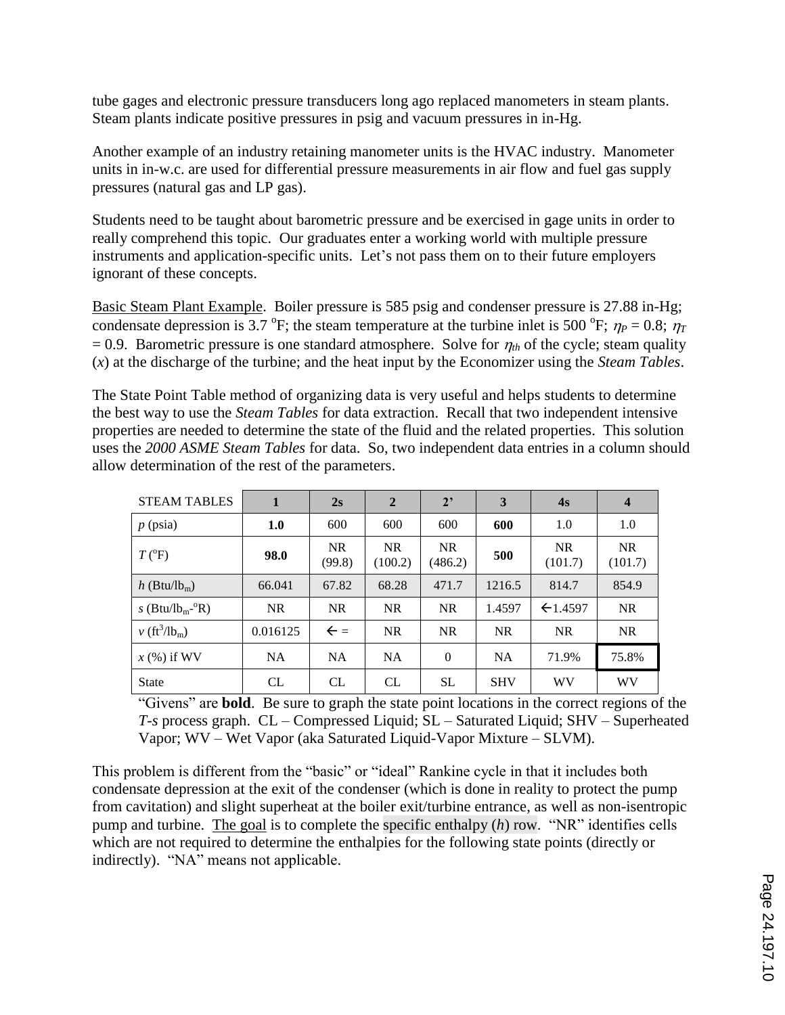tube gages and electronic pressure transducers long ago replaced manometers in steam plants. Steam plants indicate positive pressures in psig and vacuum pressures in in-Hg.

Another example of an industry retaining manometer units is the HVAC industry. Manometer units in in-w.c. are used for differential pressure measurements in air flow and fuel gas supply pressures (natural gas and LP gas).

Students need to be taught about barometric pressure and be exercised in gage units in order to really comprehend this topic. Our graduates enter a working world with multiple pressure instruments and application-specific units. Let's not pass them on to their future employers ignorant of these concepts.

Basic Steam Plant Example. Boiler pressure is 585 psig and condenser pressure is 27.88 in-Hg; condensate depression is 3.7 °F; the steam temperature at the turbine inlet is 500 °F;  $\eta_P = 0.8$ ;  $\eta_T$  $= 0.9$ . Barometric pressure is one standard atmosphere. Solve for  $\eta_{th}$  of the cycle; steam quality (*x*) at the discharge of the turbine; and the heat input by the Economizer using the *Steam Tables*.

The State Point Table method of organizing data is very useful and helps students to determine the best way to use the *Steam Tables* for data extraction. Recall that two independent intensive properties are needed to determine the state of the fluid and the related properties. This solution uses the *2000 ASME Steam Tables* for data. So, two independent data entries in a column should allow determination of the rest of the parameters.

| <b>STEAM TABLES</b>                     | $\mathbf{1}$ | 2s                  | $\overline{2}$       | 2 <sup>2</sup>       | 3          | 4s                   | $\overline{\mathbf{4}}$ |
|-----------------------------------------|--------------|---------------------|----------------------|----------------------|------------|----------------------|-------------------------|
| $p$ (psia)                              | 1.0          | 600                 | 600                  | 600                  | 600        | 1.0                  | 1.0                     |
| $T(^{0}F)$                              | 98.0         | <b>NR</b><br>(99.8) | <b>NR</b><br>(100.2) | <b>NR</b><br>(486.2) | 500        | <b>NR</b><br>(101.7) | <b>NR</b><br>(101.7)    |
| $h$ (Btu/lb <sub>m</sub> )              | 66.041       | 67.82               | 68.28                | 471.7                | 1216.5     | 814.7                | 854.9                   |
| s (Btu/lb <sub>m</sub> - $\mathrm{R}$ ) | <b>NR</b>    | <b>NR</b>           | <b>NR</b>            | <b>NR</b>            | 1.4597     | $\leftarrow$ 1.4597  | <b>NR</b>               |
| $v$ (ft <sup>3</sup> /lb <sub>m</sub> ) | 0.016125     | $\leftarrow$ =      | <b>NR</b>            | <b>NR</b>            | <b>NR</b>  | <b>NR</b>            | <b>NR</b>               |
| $x$ (%) if WV                           | NA.          | <b>NA</b>           | <b>NA</b>            | $\theta$             | <b>NA</b>  | 71.9%                | 75.8%                   |
| <b>State</b>                            | CL           | CL                  | CL                   | <b>SL</b>            | <b>SHV</b> | WV                   | WV                      |

"Givens" are **bold**. Be sure to graph the state point locations in the correct regions of the *T-s* process graph. CL – Compressed Liquid; SL – Saturated Liquid; SHV – Superheated Vapor; WV – Wet Vapor (aka Saturated Liquid-Vapor Mixture – SLVM).

This problem is different from the "basic" or "ideal" Rankine cycle in that it includes both condensate depression at the exit of the condenser (which is done in reality to protect the pump from cavitation) and slight superheat at the boiler exit/turbine entrance, as well as non-isentropic pump and turbine. The goal is to complete the specific enthalpy (*h*) row. "NR" identifies cells which are not required to determine the enthalpies for the following state points (directly or indirectly). "NA" means not applicable.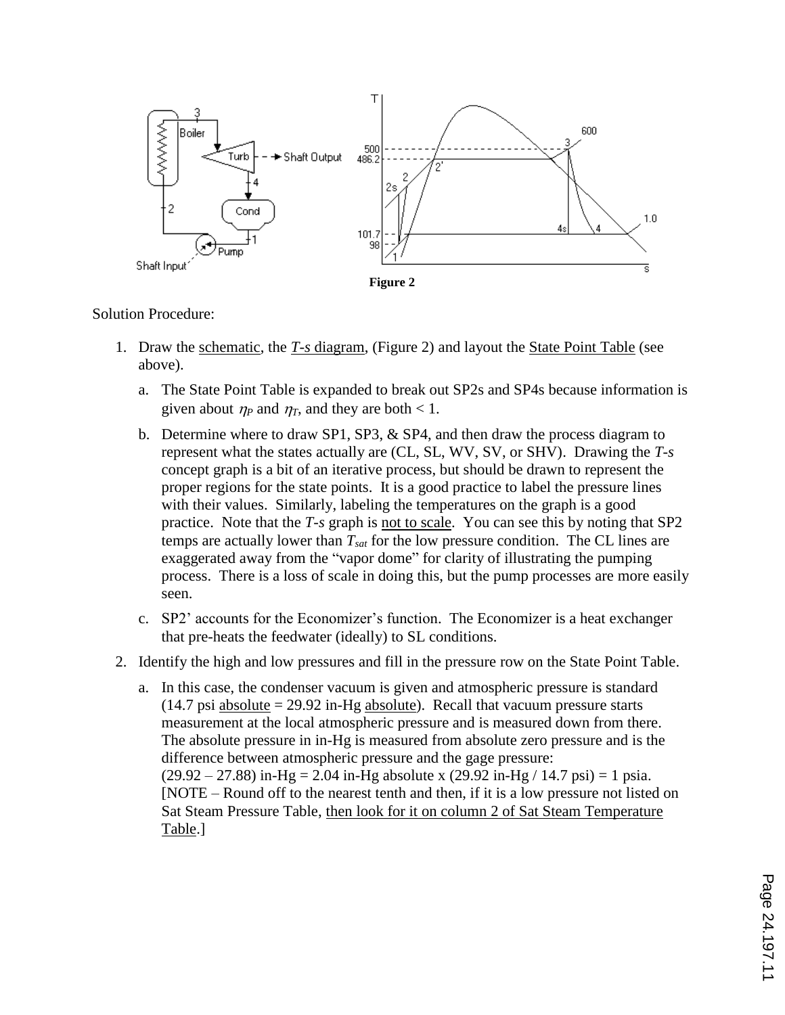

## Solution Procedure:

- 1. Draw the schematic, the *T-s* diagram, (Figure 2) and layout the State Point Table (see above).
	- a. The State Point Table is expanded to break out SP2s and SP4s because information is given about  $\eta_P$  and  $\eta_T$ , and they are both < 1.
	- b. Determine where to draw SP1, SP3, & SP4, and then draw the process diagram to represent what the states actually are (CL, SL, WV, SV, or SHV). Drawing the *T-s* concept graph is a bit of an iterative process, but should be drawn to represent the proper regions for the state points. It is a good practice to label the pressure lines with their values. Similarly, labeling the temperatures on the graph is a good practice. Note that the *T-s* graph is not to scale. You can see this by noting that SP2 temps are actually lower than  $T_{sat}$  for the low pressure condition. The CL lines are exaggerated away from the "vapor dome" for clarity of illustrating the pumping process. There is a loss of scale in doing this, but the pump processes are more easily seen.
	- c. SP2' accounts for the Economizer's function. The Economizer is a heat exchanger that pre-heats the feedwater (ideally) to SL conditions.
- 2. Identify the high and low pressures and fill in the pressure row on the State Point Table.
	- a. In this case, the condenser vacuum is given and atmospheric pressure is standard  $(14.7 \text{ psi absolute} = 29.92 \text{ in-Hg absolute})$ . Recall that vacuum pressure starts measurement at the local atmospheric pressure and is measured down from there. The absolute pressure in in-Hg is measured from absolute zero pressure and is the difference between atmospheric pressure and the gage pressure:  $(29.92 - 27.88)$  in-Hg = 2.04 in-Hg absolute x  $(29.92$  in-Hg  $/ 14.7$  psi) = 1 psia. [NOTE – Round off to the nearest tenth and then, if it is a low pressure not listed on Sat Steam Pressure Table, then look for it on column 2 of Sat Steam Temperature Table.]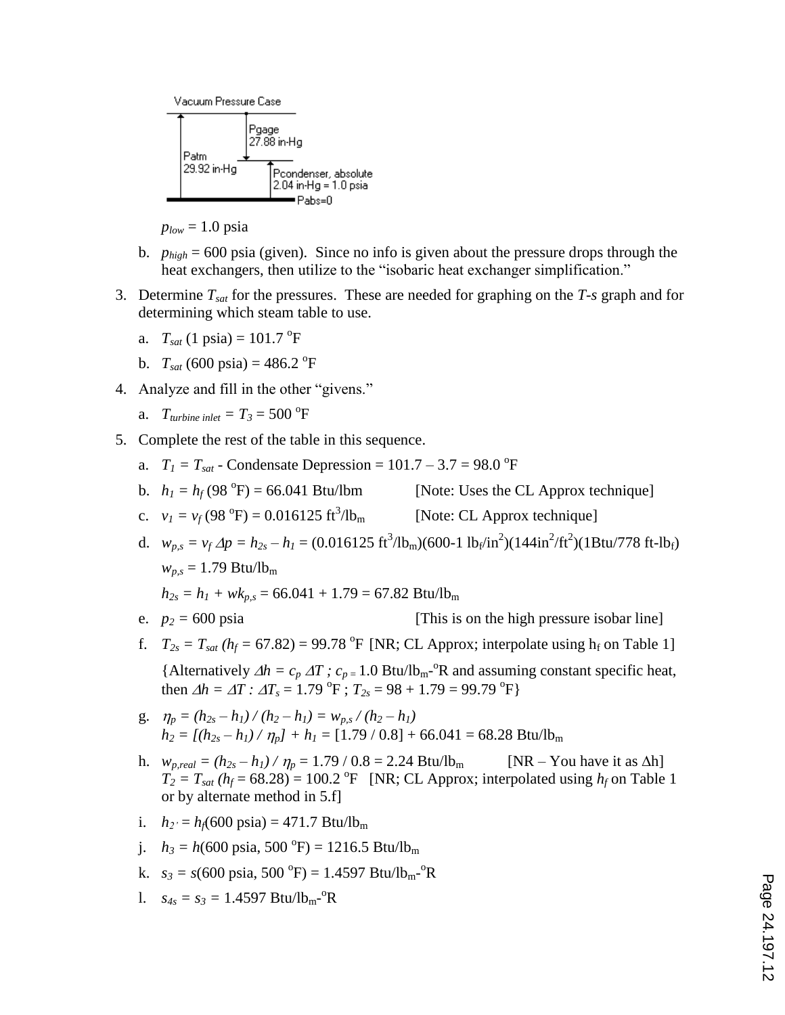

 $p_{low} = 1.0$  psia

- b. *phigh* = 600 psia (given). Since no info is given about the pressure drops through the heat exchangers, then utilize to the "isobaric heat exchanger simplification."
- 3. Determine *Tsat* for the pressures. These are needed for graphing on the *T-s* graph and for determining which steam table to use.
	- a.  $T_{sat}$  (1 psia) = 101.7 <sup>o</sup>F
	- b.  $T_{sat}$  (600 psia) = 486.2 <sup>o</sup>F
- 4. Analyze and fill in the other "givens."
	- a. *T*<sub>turbine</sub> inlet =  $T_3$  = 500 <sup>o</sup>F
- 5. Complete the rest of the table in this sequence.
	- a.  $T_1 = T_{sat}$  Condensate Depression = 101.7 3.7 = 98.0 °F
	- b.  $h_1 = h_f(98 \text{ °F}) = 66.041 \text{ Btu/lbm}$ [Note: Uses the CL Approx technique]
	- c.  $v_I = v_f(98^\circ F) = 0.016125 \text{ ft}^3$ [Note: CL Approx technique]
	- d.  $w_{p,s} = v_f \Delta p = h_{2s} h_l = (0.016125 \text{ ft}^3/\text{lb}_\text{m})(600 1 \text{ lb}_\text{f}/\text{in}^2)(144 \text{ in}^2/\text{ft}^2)(18 \text{tu}/778 \text{ ft-lb}_\text{f})$  $w_{p,s} = 1.79 \text{ Btu/lb}_{m}$

 $h_{2s} = h_1 + wk_{p,s} = 66.041 + 1.79 = 67.82$  Btu/lb<sub>m</sub>

- e.  $p_2 = 600 \text{ psia}$  [This is on the high pressure isobar line]
- f.  $T_{2s} = T_{sat} (h_f = 67.82) = 99.78 \text{ °F}$  [NR; CL Approx; interpolate using  $h_f$  on Table 1] {Alternatively  $\Delta h = c_p \Delta T$ ;  $c_{p=1.0}$  Btu/lb<sub>m</sub><sup>-o</sup>R and assuming constant specific heat, then  $\Delta h = \Delta T$ :  $\Delta T_s = 1.79 \text{ °F}$ ;  $T_{2s} = 98 + 1.79 = 99.79 \text{ °F}$ }
- g.  $\eta_p = (h_{2s} h_1) / (h_2 h_1) = w_{p,s} / (h_2 h_1)$  $h_2 = [(h_{2s} - h_l) / \eta_p] + h_1 = [1.79 / 0.8] + 66.041 = 68.28$  Btu/lb<sub>m</sub>
- h.  $w_{p,real} = (h_{2s} h_1) / \eta_p = 1.79 / 0.8 = 2.24 \text{ Btu/lb}_m$  [NR You have it as  $\Delta h$ ]  $T_2 = T_{\text{sat}} (h_f = 68.28) = 100.2 \text{ °F}$  [NR; CL Approx; interpolated using  $h_f$  on Table 1 or by alternate method in 5.f]
- i.  $h_2 = h_f(600 \text{ psia}) = 471.7 \text{ Btu/lb_m}$
- j.  $h_3 = h(600 \text{ psia}, 500 \text{ °F}) = 1216.5 \text{ Btu/lb}_m$
- k.  $s_3 = s(600 \text{ psia}, 500 \text{ °F}) = 1.4597 \text{ Btu/lb}_{\text{m}}\text{ °R}$
- 1.  $s_{4s} = s_3 = 1.4597 \text{ Btu/lb}_{m}^{\text{o}}$ <sup>-</sup> $\Omega$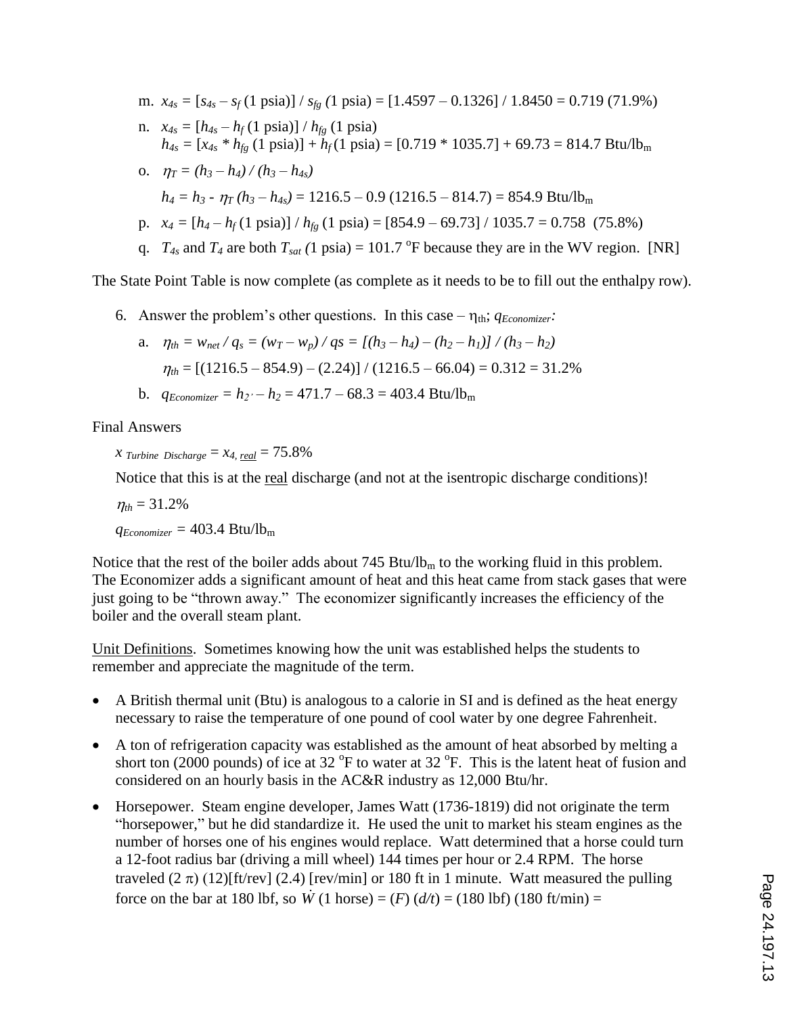m. *x4s =* [*s4s – s<sup>f</sup>* (1 psia)] / *sfg (*1 psia) = [1.4597 – 0.1326] / 1.8450 = 0.719 (71.9%) n.  $x_{4s} = [h_{4s} - h_f (1 \text{ psia})] / h_{fg} (1 \text{ psia})$  $h_{4s} = [x_{4s} * h_{fg} (1 \text{ psia})] + h_{f} (1 \text{ psia}) = [0.719 * 1035.7] + 69.73 = 814.7 \text{ Btu/lb}_{m}$ 0.  $n_r = (h_3 - h_4)/(h_3 - h_4 s)$ 

$$
h_4 = h_3 - \eta_T (h_3 - h_{4s}) = 1216.5 - 0.9 (1216.5 - 814.7) = 854.9 \text{ Btu/lb}_m
$$

- p.  $x_4 = [h_4 h_f(1 \text{ psia})] / h_{fg}(1 \text{ psia}) = [854.9 69.73] / 1035.7 = 0.758 (75.8%)$
- q.  $T_{4s}$  and  $T_4$  are both  $T_{sat}$  (1 psia) = 101.7 °F because they are in the WV region. [NR]

The State Point Table is now complete (as complete as it needs to be to fill out the enthalpy row).

6. Answer the problem's other questions. In this case –  $\eta_{th}$ ;  $q_{Economirier}$ 

a. 
$$
\eta_{th} = w_{net} / q_s = (w_T - w_p) / qs = [(h_3 - h_4) - (h_2 - h_1)] / (h_3 - h_2)
$$
  
 $\eta_{th} = [(1216.5 - 854.9) - (2.24)] / (1216.5 - 66.04) = 0.312 = 31.2\%$ 

b.  $q_{Economizer} = h_2 - h_2 = 471.7 - 68.3 = 403.4$  Btu/lb<sub>m</sub>

Final Answers

*x Turbine Discharge*  $= x_4$ , *real*  $= 75.8\%$ 

Notice that this is at the <u>real</u> discharge (and not at the isentropic discharge conditions)!

 $n_{th} = 31.2\%$  $q_{Economizer} = 403.4$  Btu/lb<sub>m</sub>

Notice that the rest of the boiler adds about  $745$  Btu/lb<sub>m</sub> to the working fluid in this problem. The Economizer adds a significant amount of heat and this heat came from stack gases that were just going to be "thrown away." The economizer significantly increases the efficiency of the boiler and the overall steam plant.

Unit Definitions. Sometimes knowing how the unit was established helps the students to remember and appreciate the magnitude of the term.

- A British thermal unit (Btu) is analogous to a calorie in SI and is defined as the heat energy necessary to raise the temperature of one pound of cool water by one degree Fahrenheit.
- A ton of refrigeration capacity was established as the amount of heat absorbed by melting a short ton (2000 pounds) of ice at 32  $\degree$ F to water at 32  $\degree$ F. This is the latent heat of fusion and considered on an hourly basis in the AC&R industry as 12,000 Btu/hr.
- Horsepower. Steam engine developer, James Watt (1736-1819) did not originate the term "horsepower," but he did standardize it. He used the unit to market his steam engines as the number of horses one of his engines would replace. Watt determined that a horse could turn a 12-foot radius bar (driving a mill wheel) 144 times per hour or 2.4 RPM. The horse traveled  $(2 \pi)$  (12)[ft/rev] (2.4) [rev/min] or 180 ft in 1 minute. Watt measured the pulling force on the bar at 180 lbf, so  $\dot{W}$  (1 horse) = (*F*) ( $d/t$ ) = (180 lbf) (180 ft/min) =